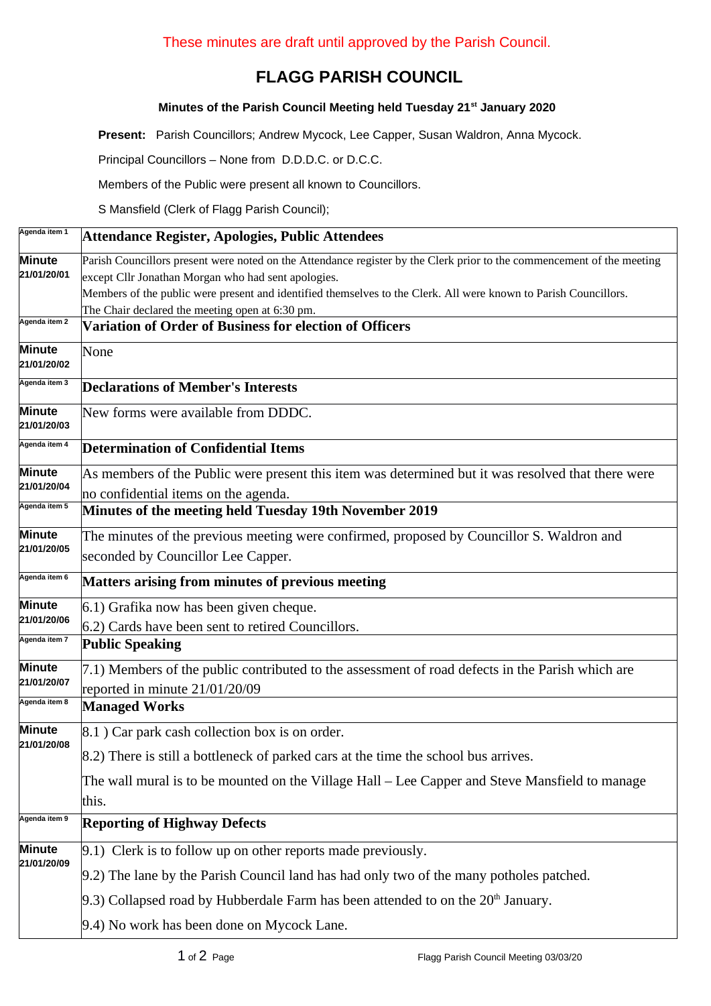## **FLAGG PARISH COUNCIL**

## **Minutes of the Parish Council Meeting held Tuesday 21st January 2020**

**Present:** Parish Councillors; Andrew Mycock, Lee Capper, Susan Waldron, Anna Mycock.

Principal Councillors – None from D.D.D.C. or D.C.C.

Members of the Public were present all known to Councillors.

S Mansfield (Clerk of Flagg Parish Council);

| Agenda item 1         | Attendance Register, Apologies, Public Attendees                                                                       |  |  |  |
|-----------------------|------------------------------------------------------------------------------------------------------------------------|--|--|--|
| Minute                | Parish Councillors present were noted on the Attendance register by the Clerk prior to the commencement of the meeting |  |  |  |
| 21/01/20/01           | except Cllr Jonathan Morgan who had sent apologies.                                                                    |  |  |  |
|                       | Members of the public were present and identified themselves to the Clerk. All were known to Parish Councillors.       |  |  |  |
| Agenda item 2         | The Chair declared the meeting open at 6:30 pm.                                                                        |  |  |  |
|                       | Variation of Order of Business for election of Officers                                                                |  |  |  |
| Minute<br>21/01/20/02 | None                                                                                                                   |  |  |  |
| Agenda item 3         | <b>Declarations of Member's Interests</b>                                                                              |  |  |  |
| Minute<br>21/01/20/03 | New forms were available from DDDC.                                                                                    |  |  |  |
| Agenda item 4         | <b>Determination of Confidential Items</b>                                                                             |  |  |  |
| Minute<br>21/01/20/04 | As members of the Public were present this item was determined but it was resolved that there were                     |  |  |  |
|                       | no confidential items on the agenda.                                                                                   |  |  |  |
| Agenda item 5         | Minutes of the meeting held Tuesday 19th November 2019                                                                 |  |  |  |
| Minute<br>21/01/20/05 | The minutes of the previous meeting were confirmed, proposed by Councillor S. Waldron and                              |  |  |  |
|                       | seconded by Councillor Lee Capper.                                                                                     |  |  |  |
| Agenda item 6         | Matters arising from minutes of previous meeting                                                                       |  |  |  |
| Minute<br>21/01/20/06 | 6.1) Grafika now has been given cheque.                                                                                |  |  |  |
|                       | 6.2) Cards have been sent to retired Councillors.                                                                      |  |  |  |
| Agenda item 7         | <b>Public Speaking</b>                                                                                                 |  |  |  |
| Minute                | 7.1) Members of the public contributed to the assessment of road defects in the Parish which are                       |  |  |  |
| 21/01/20/07           | reported in minute 21/01/20/09                                                                                         |  |  |  |
| Agenda item 8         | <b>Managed Works</b>                                                                                                   |  |  |  |
| Minute<br>21/01/20/08 | 8.1 ) Car park cash collection box is on order.                                                                        |  |  |  |
|                       | [8.2] There is still a bottleneck of parked cars at the time the school bus arrives.                                   |  |  |  |
|                       | The wall mural is to be mounted on the Village Hall – Lee Capper and Steve Mansfield to manage                         |  |  |  |
|                       | this.                                                                                                                  |  |  |  |
| Agenda item 9         | <b>Reporting of Highway Defects</b>                                                                                    |  |  |  |
| Minute<br>21/01/20/09 | $[9.1)$ Clerk is to follow up on other reports made previously.                                                        |  |  |  |
|                       | 9.2) The lane by the Parish Council land has had only two of the many potholes patched.                                |  |  |  |
|                       | $[9.3)$ Collapsed road by Hubberdale Farm has been attended to on the 20 <sup>th</sup> January.                        |  |  |  |
|                       | 9.4) No work has been done on Mycock Lane.                                                                             |  |  |  |